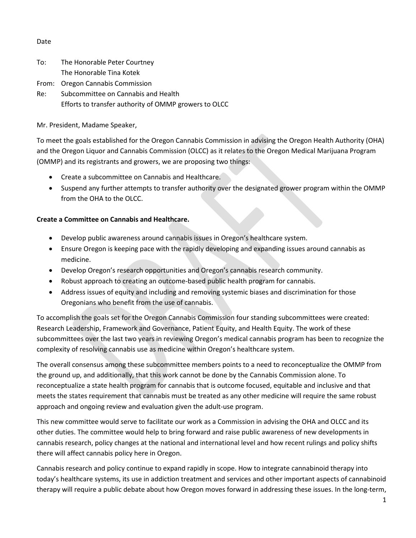## Date

| To: | The Honorable Peter Courtney        |
|-----|-------------------------------------|
|     | The Honorable Tina Kotek            |
|     | From: Oregon Cannabis Commission    |
| Do. | Cubcommittoo on Cannabic and Hoalth |

Re: Subcommittee on Cannabis and Health Efforts to transfer authority of OMMP growers to OLCC

Mr. President, Madame Speaker,

To meet the goals established for the Oregon Cannabis Commission in advising the Oregon Health Authority (OHA) and the Oregon Liquor and Cannabis Commission (OLCC) as it relates to the Oregon Medical Marijuana Program (OMMP) and its registrants and growers, we are proposing two things:

- Create a subcommittee on Cannabis and Healthcare.
- Suspend any further attempts to transfer authority over the designated grower program within the OMMP from the OHA to the OLCC.

## **Create a Committee on Cannabis and Healthcare.**

- Develop public awareness around cannabis issues in Oregon's healthcare system.
- Ensure Oregon is keeping pace with the rapidly developing and expanding issues around cannabis as medicine.
- Develop Oregon's research opportunities and Oregon's cannabis research community.
- Robust approach to creating an outcome-based public health program for cannabis.
- Address issues of equity and including and removing systemic biases and discrimination for those Oregonians who benefit from the use of cannabis.

To accomplish the goals set for the Oregon Cannabis Commission four standing subcommittees were created: Research Leadership, Framework and Governance, Patient Equity, and Health Equity. The work of these subcommittees over the last two years in reviewing Oregon's medical cannabis program has been to recognize the complexity of resolving cannabis use as medicine within Oregon's healthcare system.

The overall consensus among these subcommittee members points to a need to reconceptualize the OMMP from the ground up, and additionally, that this work cannot be done by the Cannabis Commission alone. To reconceptualize a state health program for cannabis that is outcome focused, equitable and inclusive and that meets the states requirement that cannabis must be treated as any other medicine will require the same robust approach and ongoing review and evaluation given the adult-use program.

This new committee would serve to facilitate our work as a Commission in advising the OHA and OLCC and its other duties. The committee would help to bring forward and raise public awareness of new developments in cannabis research, policy changes at the national and international level and how recent rulings and policy shifts there will affect cannabis policy here in Oregon.

Cannabis research and policy continue to expand rapidly in scope. How to integrate cannabinoid therapy into today's healthcare systems, its use in addiction treatment and services and other important aspects of cannabinoid therapy will require a public debate about how Oregon moves forward in addressing these issues. In the long-term,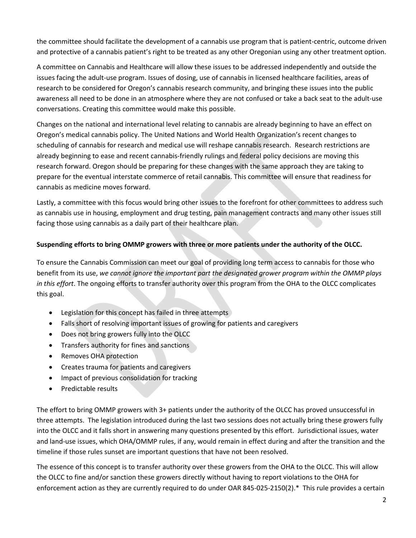the committee should facilitate the development of a cannabis use program that is patient-centric, outcome driven and protective of a cannabis patient's right to be treated as any other Oregonian using any other treatment option.

A committee on Cannabis and Healthcare will allow these issues to be addressed independently and outside the issues facing the adult-use program. Issues of dosing, use of cannabis in licensed healthcare facilities, areas of research to be considered for Oregon's cannabis research community, and bringing these issues into the public awareness all need to be done in an atmosphere where they are not confused or take a back seat to the adult-use conversations. Creating this committee would make this possible.

Changes on the national and international level relating to cannabis are already beginning to have an effect on Oregon's medical cannabis policy. The United Nations and World Health Organization's recent changes to scheduling of cannabis for research and medical use will reshape cannabis research. Research restrictions are already beginning to ease and recent cannabis-friendly rulings and federal policy decisions are moving this research forward. Oregon should be preparing for these changes with the same approach they are taking to prepare for the eventual interstate commerce of retail cannabis. This committee will ensure that readiness for cannabis as medicine moves forward.

Lastly, a committee with this focus would bring other issues to the forefront for other committees to address such as cannabis use in housing, employment and drug testing, pain management contracts and many other issues still facing those using cannabis as a daily part of their healthcare plan.

## **Suspending efforts to bring OMMP growers with three or more patients under the authority of the OLCC.**

To ensure the Cannabis Commission can meet our goal of providing long term access to cannabis for those who benefit from its use, *we cannot ignore the important part the designated grower program within the OMMP plays in this effort*. The ongoing efforts to transfer authority over this program from the OHA to the OLCC complicates this goal.

- Legislation for this concept has failed in three attempts
- Falls short of resolving important issues of growing for patients and caregivers
- Does not bring growers fully into the OLCC
- Transfers authority for fines and sanctions
- Removes OHA protection
- Creates trauma for patients and caregivers
- Impact of previous consolidation for tracking
- Predictable results

The effort to bring OMMP growers with 3+ patients under the authority of the OLCC has proved unsuccessful in three attempts. The legislation introduced during the last two sessions does not actually bring these growers fully into the OLCC and it falls short in answering many questions presented by this effort. Jurisdictional issues, water and land-use issues, which OHA/OMMP rules, if any, would remain in effect during and after the transition and the timeline if those rules sunset are important questions that have not been resolved.

The essence of this concept is to transfer authority over these growers from the OHA to the OLCC. This will allow the OLCC to fine and/or sanction these growers directly without having to report violations to the OHA for enforcement action as they are currently required to do under OAR 845-025-2150(2).\* This rule provides a certain